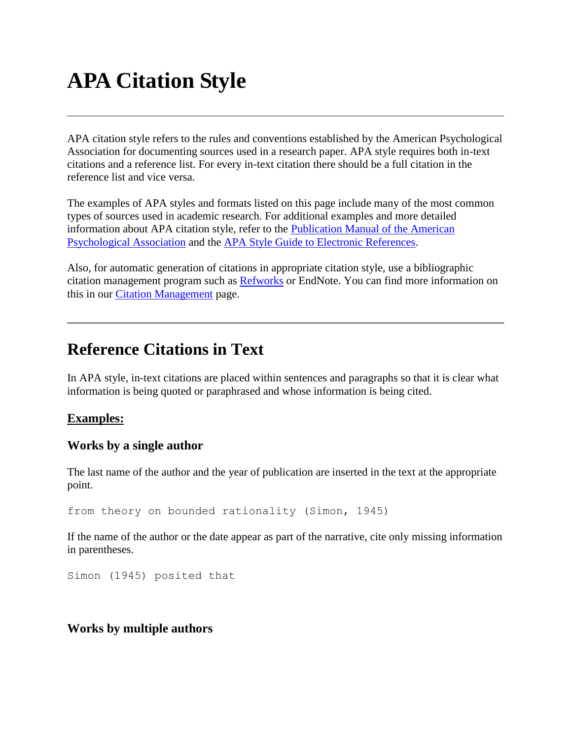# **APA Citation Style**

APA citation style refers to the rules and conventions established by the American Psychological Association for documenting sources used in a research paper. APA style requires both in-text citations and a reference list. For every in-text citation there should be a full citation in the reference list and vice versa.

The examples of APA styles and formats listed on this page include many of the most common types of sources used in academic research. For additional examples and more detailed information about APA citation style, refer to the [Publication Manual of the American](http://cornell.worldcat.org/oclc/316736612)  [Psychological Association](http://cornell.worldcat.org/oclc/316736612) and the [APA Style Guide to Electronic References.](http://cornell.worldcat.org/oclc/162653855)

Also, for automatic generation of citations in appropriate citation style, use a bibliographic citation management program such as [Refworks](http://refworks.cornell.edu/) or EndNote. You can find more information on this in our [Citation Management](http://www.library.cornell.edu/resrch/citmanage) page.

# **Reference Citations in Text**

In APA style, in-text citations are placed within sentences and paragraphs so that it is clear what information is being quoted or paraphrased and whose information is being cited.

# **Examples:**

# **Works by a single author**

The last name of the author and the year of publication are inserted in the text at the appropriate point.

```
from theory on bounded rationality (Simon, 1945)
```
If the name of the author or the date appear as part of the narrative, cite only missing information in parentheses.

Simon (1945) posited that

# **Works by multiple authors**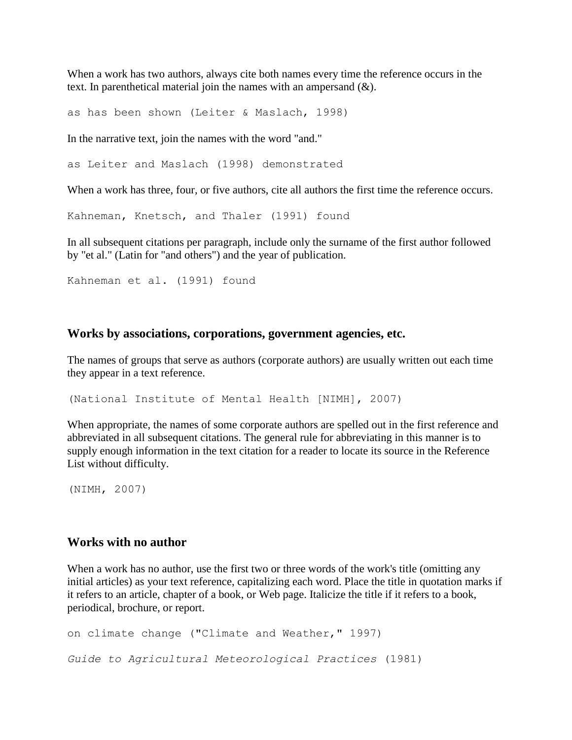When a work has two authors, always cite both names every time the reference occurs in the text. In parenthetical material join the names with an ampersand  $(\&)$ .

as has been shown (Leiter & Maslach, 1998)

In the narrative text, join the names with the word "and."

as Leiter and Maslach (1998) demonstrated

When a work has three, four, or five authors, cite all authors the first time the reference occurs.

Kahneman, Knetsch, and Thaler (1991) found

In all subsequent citations per paragraph, include only the surname of the first author followed by "et al." (Latin for "and others") and the year of publication.

Kahneman et al. (1991) found

# **Works by associations, corporations, government agencies, etc.**

The names of groups that serve as authors (corporate authors) are usually written out each time they appear in a text reference.

(National Institute of Mental Health [NIMH], 2007)

When appropriate, the names of some corporate authors are spelled out in the first reference and abbreviated in all subsequent citations. The general rule for abbreviating in this manner is to supply enough information in the text citation for a reader to locate its source in the Reference List without difficulty.

(NIMH, 2007)

# **Works with no author**

When a work has no author, use the first two or three words of the work's title (omitting any initial articles) as your text reference, capitalizing each word. Place the title in quotation marks if it refers to an article, chapter of a book, or Web page. Italicize the title if it refers to a book, periodical, brochure, or report.

```
on climate change ("Climate and Weather," 1997) 
Guide to Agricultural Meteorological Practices (1981)
```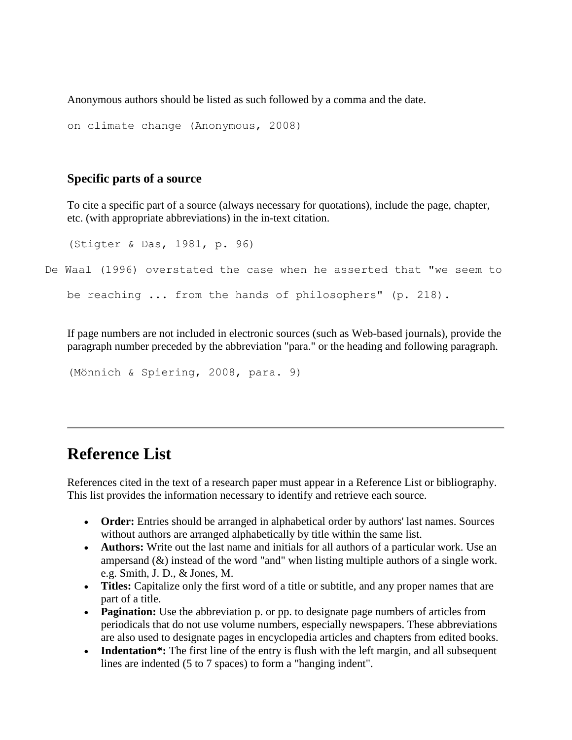Anonymous authors should be listed as such followed by a comma and the date.

```
on climate change (Anonymous, 2008)
```
# **Specific parts of a source**

To cite a specific part of a source (always necessary for quotations), include the page, chapter, etc. (with appropriate abbreviations) in the in-text citation.

```
(Stigter & Das, 1981, p. 96)
```
De Waal (1996) overstated the case when he asserted that "we seem to

```
be reaching ... from the hands of philosophers" (p. 218).
```
If page numbers are not included in electronic sources (such as Web-based journals), provide the paragraph number preceded by the abbreviation "para." or the heading and following paragraph.

```
(Mönnich & Spiering, 2008, para. 9)
```
# **Reference List**

References cited in the text of a research paper must appear in a Reference List or bibliography. This list provides the information necessary to identify and retrieve each source.

- **Order:** Entries should be arranged in alphabetical order by authors' last names. Sources without authors are arranged alphabetically by title within the same list.
- **Authors:** Write out the last name and initials for all authors of a particular work. Use an ampersand  $(\&)$  instead of the word "and" when listing multiple authors of a single work. e.g. Smith, J. D., & Jones, M.
- **Titles:** Capitalize only the first word of a title or subtitle, and any proper names that are part of a title.
- **Pagination:** Use the abbreviation p. or pp. to designate page numbers of articles from periodicals that do not use volume numbers, especially newspapers. These abbreviations are also used to designate pages in encyclopedia articles and chapters from edited books.
- **Indentation**<sup>\*</sup>: The first line of the entry is flush with the left margin, and all subsequent lines are indented (5 to 7 spaces) to form a "hanging indent".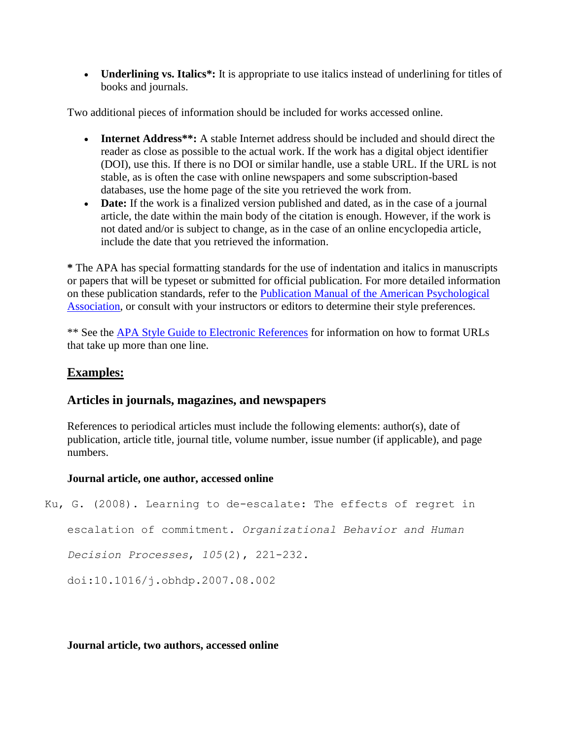• **Underlining vs. Italics**<sup>\*</sup>: It is appropriate to use italics instead of underlining for titles of books and journals.

Two additional pieces of information should be included for works accessed online.

- **Internet Address\*\*:** A stable Internet address should be included and should direct the reader as close as possible to the actual work. If the work has a digital object identifier (DOI), use this. If there is no DOI or similar handle, use a stable URL. If the URL is not stable, as is often the case with online newspapers and some subscription-based databases, use the home page of the site you retrieved the work from.
- **Date:** If the work is a finalized version published and dated, as in the case of a journal article, the date within the main body of the citation is enough. However, if the work is not dated and/or is subject to change, as in the case of an online encyclopedia article, include the date that you retrieved the information.

**\*** The APA has special formatting standards for the use of indentation and italics in manuscripts or papers that will be typeset or submitted for official publication. For more detailed information on these publication standards, refer to the [Publication Manual of the American Psychological](http://cornell.worldcat.org/oclc/316736612)  [Association,](http://cornell.worldcat.org/oclc/316736612) or consult with your instructors or editors to determine their style preferences.

\*\* See the [APA Style Guide to Electronic References](http://cornell.worldcat.org/oclc/162653855) for information on how to format URLs that take up more than one line.

# **Examples:**

# **Articles in journals, magazines, and newspapers**

References to periodical articles must include the following elements: author(s), date of publication, article title, journal title, volume number, issue number (if applicable), and page numbers.

# **Journal article, one author, accessed online**

Ku, G. (2008). Learning to de-escalate: The effects of regret in

escalation of commitment. *Organizational Behavior and Human* 

*Decision Processes*, *105*(2), 221-232.

doi:10.1016/j.obhdp.2007.08.002

# **Journal article, two authors, accessed online**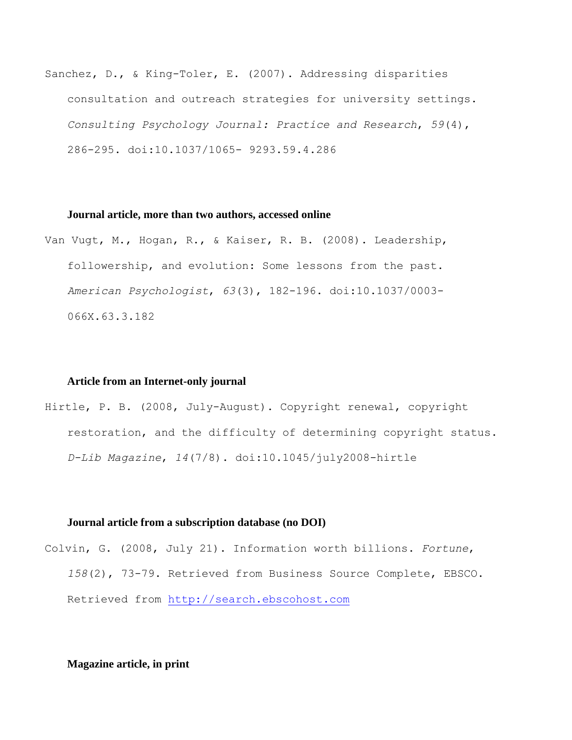Sanchez, D., & King-Toler, E. (2007). Addressing disparities consultation and outreach strategies for university settings. *Consulting Psychology Journal: Practice and Research*, *59*(4), 286-295. doi:10.1037/1065- 9293.59.4.286

### **Journal article, more than two authors, accessed online**

Van Vugt, M., Hogan, R., & Kaiser, R. B. (2008). Leadership, followership, and evolution: Some lessons from the past. *American Psychologist*, *63*(3), 182-196. doi:10.1037/0003- 066X.63.3.182

#### **Article from an Internet-only journal**

Hirtle, P. B. (2008, July-August). Copyright renewal, copyright restoration, and the difficulty of determining copyright status. *D-Lib Magazine*, *14*(7/8). doi:10.1045/july2008-hirtle

#### **Journal article from a subscription database (no DOI)**

Colvin, G. (2008, July 21). Information worth billions. *Fortune*, *158*(2), 73-79. Retrieved from Business Source Complete, EBSCO. Retrieved from [http://search.ebscohost.com](http://search.ebscohost.com/)

# **Magazine article, in print**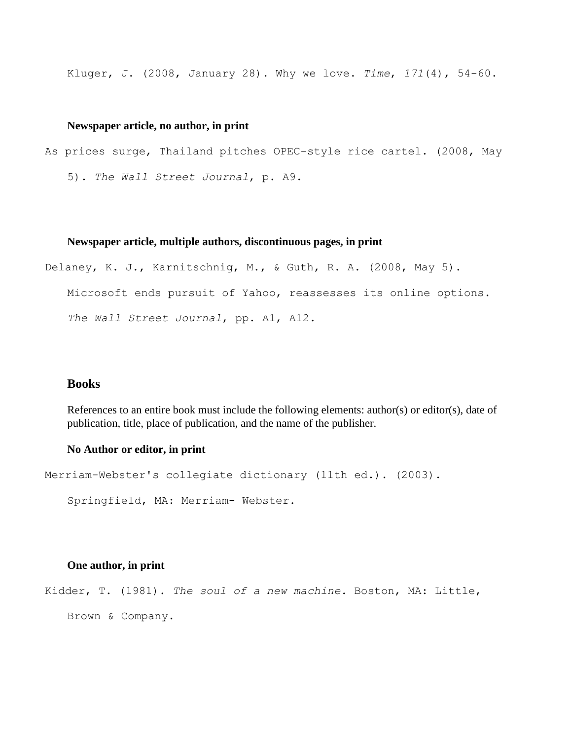Kluger, J. (2008, January 28). Why we love. *Time*, *171*(4), 54-60.

# **Newspaper article, no author, in print**

As prices surge, Thailand pitches OPEC-style rice cartel. (2008, May 5). *The Wall Street Journal*, p. A9.

#### **Newspaper article, multiple authors, discontinuous pages, in print**

Delaney, K. J., Karnitschnig, M., & Guth, R. A. (2008, May 5). Microsoft ends pursuit of Yahoo, reassesses its online options. *The Wall Street Journal*, pp. A1, A12.

# **Books**

References to an entire book must include the following elements: author(s) or editor(s), date of publication, title, place of publication, and the name of the publisher.

## **No Author or editor, in print**

```
Merriam-Webster's collegiate dictionary (11th ed.). (2003).
```
Springfield, MA: Merriam- Webster.

# **One author, in print**

Kidder, T. (1981). *The soul of a new machine*. Boston, MA: Little,

Brown & Company.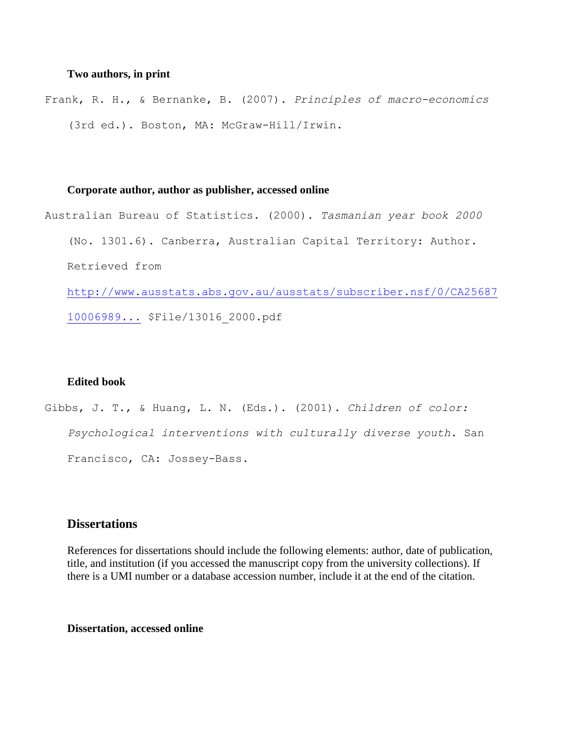# **Two authors, in print**

Frank, R. H., & Bernanke, B. (2007). *Principles of macro-economics* (3rd ed.). Boston, MA: McGraw-Hill/Irwin.

# **Corporate author, author as publisher, accessed online**

Australian Bureau of Statistics. (2000). *Tasmanian year book 2000* (No. 1301.6). Canberra, Australian Capital Territory: Author. Retrieved from [http://www.ausstats.abs.gov.au/ausstats/subscriber.nsf/0/CA25687](http://www.ausstats.abs.gov.au/ausstats/subscriber.nsf/0/CA25687100069892CA256889000CA9FC/) [10006989...](http://www.ausstats.abs.gov.au/ausstats/subscriber.nsf/0/CA25687100069892CA256889000CA9FC/) \$File/13016\_2000.pdf

# **Edited book**

Gibbs, J. T., & Huang, L. N. (Eds.). (2001). *Children of color: Psychological interventions with culturally diverse youth*. San Francisco, CA: Jossey-Bass.

# **Dissertations**

References for dissertations should include the following elements: author, date of publication, title, and institution (if you accessed the manuscript copy from the university collections). If there is a UMI number or a database accession number, include it at the end of the citation.

# **Dissertation, accessed online**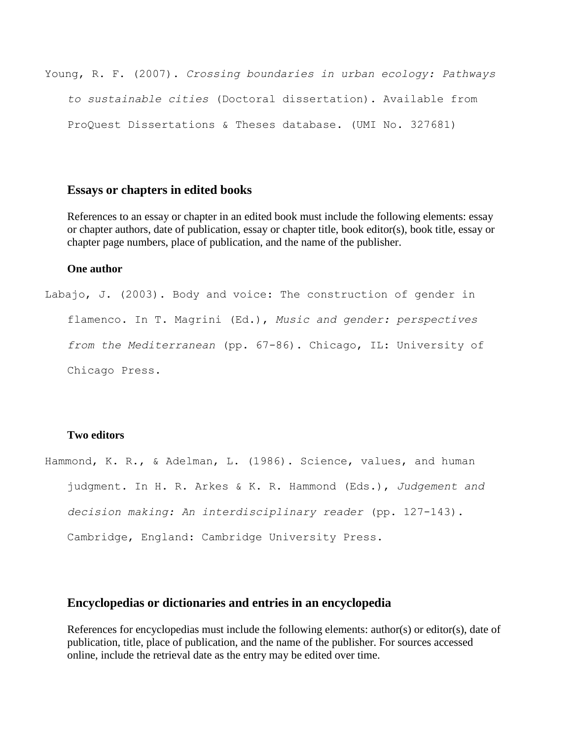Young, R. F. (2007). *Crossing boundaries in urban ecology: Pathways to sustainable cities* (Doctoral dissertation). Available from ProQuest Dissertations & Theses database. (UMI No. 327681)

# **Essays or chapters in edited books**

References to an essay or chapter in an edited book must include the following elements: essay or chapter authors, date of publication, essay or chapter title, book editor(s), book title, essay or chapter page numbers, place of publication, and the name of the publisher.

# **One author**

Labajo, J. (2003). Body and voice: The construction of gender in flamenco. In T. Magrini (Ed.), *Music and gender: perspectives from the Mediterranean* (pp. 67-86). Chicago, IL: University of Chicago Press.

# **Two editors**

Hammond, K. R., & Adelman, L. (1986). Science, values, and human judgment. In H. R. Arkes & K. R. Hammond (Eds.), *Judgement and decision making: An interdisciplinary reader* (pp. 127-143). Cambridge, England: Cambridge University Press.

# **Encyclopedias or dictionaries and entries in an encyclopedia**

References for encyclopedias must include the following elements: author(s) or editor(s), date of publication, title, place of publication, and the name of the publisher. For sources accessed online, include the retrieval date as the entry may be edited over time.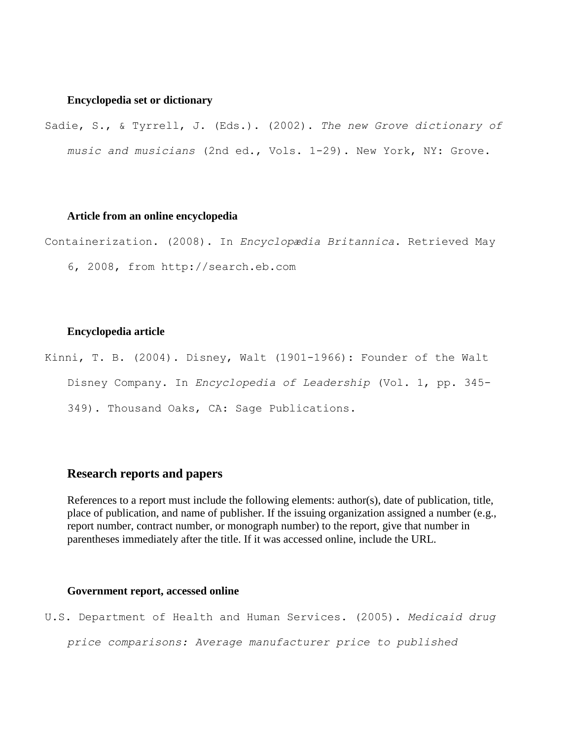# **Encyclopedia set or dictionary**

Sadie, S., & Tyrrell, J. (Eds.). (2002). *The new Grove dictionary of music and musicians* (2nd ed., Vols. 1-29). New York, NY: Grove.

# **Article from an online encyclopedia**

Containerization. (2008). In *Encyclopædia Britannica*. Retrieved May

6, 2008, from http://search.eb.com

## **Encyclopedia article**

Kinni, T. B. (2004). Disney, Walt (1901-1966): Founder of the Walt Disney Company. In *Encyclopedia of Leadership* (Vol. 1, pp. 345- 349). Thousand Oaks, CA: Sage Publications.

# **Research reports and papers**

References to a report must include the following elements: author(s), date of publication, title, place of publication, and name of publisher. If the issuing organization assigned a number (e.g., report number, contract number, or monograph number) to the report, give that number in parentheses immediately after the title. If it was accessed online, include the URL.

# **Government report, accessed online**

U.S. Department of Health and Human Services. (2005). *Medicaid drug* 

*price comparisons: Average manufacturer price to published*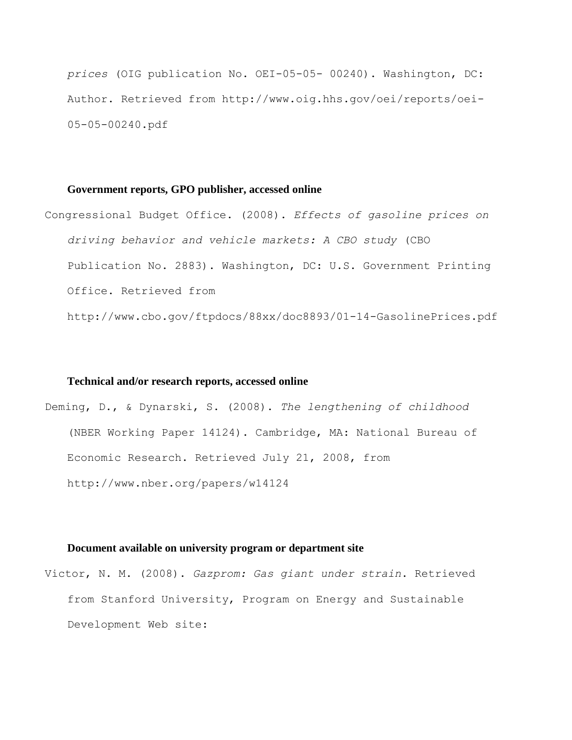*prices* (OIG publication No. OEI-05-05- 00240). Washington, DC: Author. Retrieved from http://www.oig.hhs.gov/oei/reports/oei-05-05-00240.pdf

#### **Government reports, GPO publisher, accessed online**

Congressional Budget Office. (2008). *Effects of gasoline prices on driving behavior and vehicle markets: A CBO study* (CBO Publication No. 2883). Washington, DC: U.S. Government Printing Office. Retrieved from http://www.cbo.gov/ftpdocs/88xx/doc8893/01-14-GasolinePrices.pdf

#### **Technical and/or research reports, accessed online**

Deming, D., & Dynarski, S. (2008). *The lengthening of childhood* (NBER Working Paper 14124). Cambridge, MA: National Bureau of Economic Research. Retrieved July 21, 2008, from http://www.nber.org/papers/w14124

#### **Document available on university program or department site**

Victor, N. M. (2008). *Gazprom: Gas giant under strain*. Retrieved from Stanford University, Program on Energy and Sustainable Development Web site: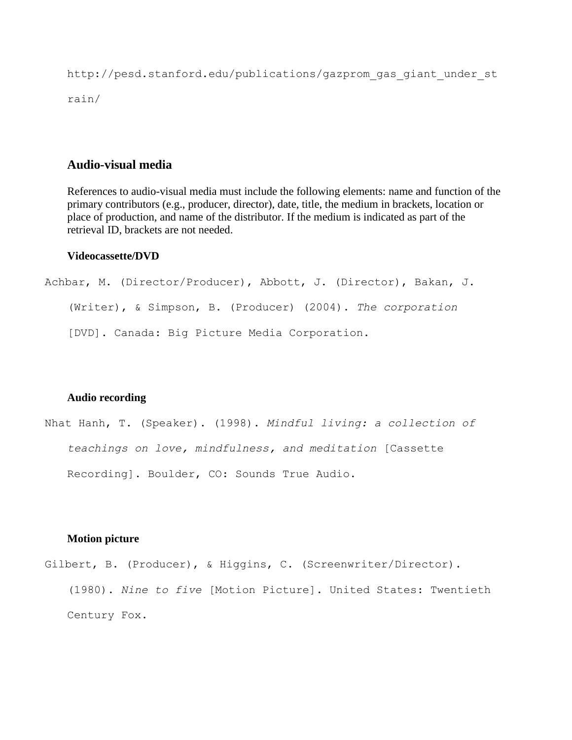http://pesd.stanford.edu/publications/gazprom\_gas\_giant\_under\_st rain/

# **Audio-visual media**

References to audio-visual media must include the following elements: name and function of the primary contributors (e.g., producer, director), date, title, the medium in brackets, location or place of production, and name of the distributor. If the medium is indicated as part of the retrieval ID, brackets are not needed.

# **Videocassette/DVD**

Achbar, M. (Director/Producer), Abbott, J. (Director), Bakan, J. (Writer), & Simpson, B. (Producer) (2004). *The corporation* [DVD]. Canada: Big Picture Media Corporation.

#### **Audio recording**

Nhat Hanh, T. (Speaker). (1998). *Mindful living: a collection of teachings on love, mindfulness, and meditation* [Cassette Recording]. Boulder, CO: Sounds True Audio.

### **Motion picture**

Gilbert, B. (Producer), & Higgins, C. (Screenwriter/Director). (1980). *Nine to five* [Motion Picture]. United States: Twentieth Century Fox.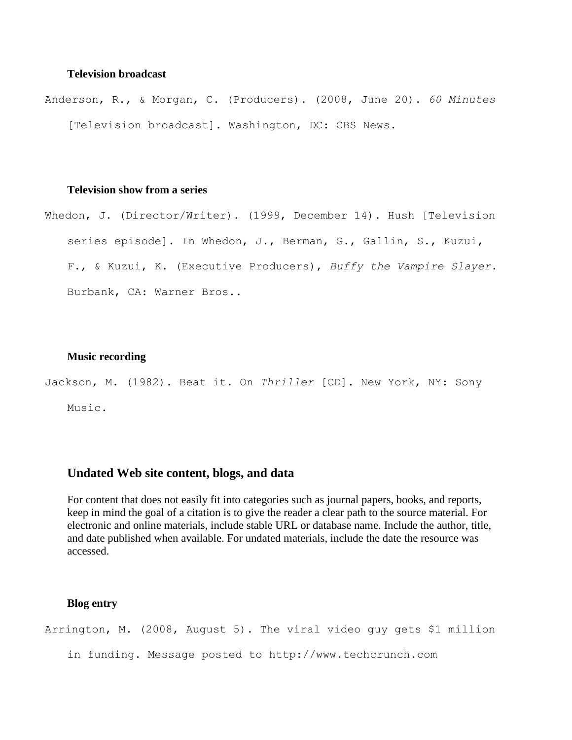# **Television broadcast**

Anderson, R., & Morgan, C. (Producers). (2008, June 20). *60 Minutes* [Television broadcast]. Washington, DC: CBS News.

# **Television show from a series**

Whedon, J. (Director/Writer). (1999, December 14). Hush [Television series episode]. In Whedon, J., Berman, G., Gallin, S., Kuzui, F., & Kuzui, K. (Executive Producers), *Buffy the Vampire Slayer*. Burbank, CA: Warner Bros..

# **Music recording**

Jackson, M. (1982). Beat it. On *Thriller* [CD]. New York, NY: Sony Music.

# **Undated Web site content, blogs, and data**

For content that does not easily fit into categories such as journal papers, books, and reports, keep in mind the goal of a citation is to give the reader a clear path to the source material. For electronic and online materials, include stable URL or database name. Include the author, title, and date published when available. For undated materials, include the date the resource was accessed.

# **Blog entry**

Arrington, M. (2008, August 5). The viral video guy gets \$1 million in funding. Message posted to http://www.techcrunch.com